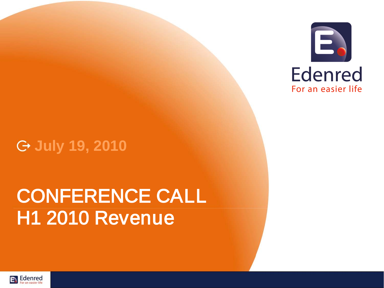

## **July 19, 2010**

# CONFERENCE CALL H1 2010 Revenue

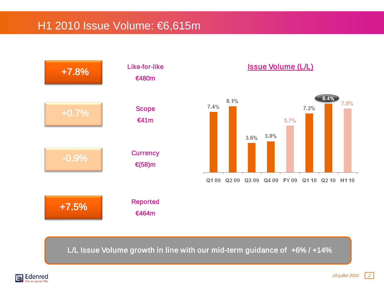### H1 2010 Issue Volume: €6,615m



Issue Volume (L/L)



L/L Issue Volume growth in line with our mid-term guidance of +6% / +14%

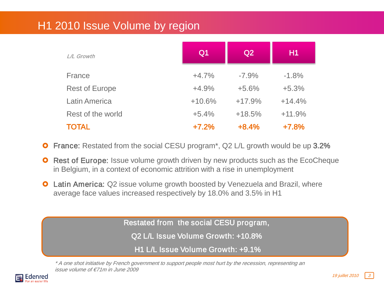### H1 2010 Issue Volume by region

| <b>L/L Growth</b>     | Q <sub>1</sub> | Q2       | H1       |
|-----------------------|----------------|----------|----------|
| France                | $+4.7%$        | $-7.9\%$ | $-1.8%$  |
| <b>Rest of Europe</b> | $+4.9%$        | $+5.6%$  | $+5.3%$  |
| <b>Latin America</b>  | $+10.6%$       | $+17.9%$ | $+14.4%$ |
| Rest of the world     | $+5.4%$        | $+18.5%$ | $+11.9%$ |
| <b>TOTAL</b>          | $+7.2%$        | $+8.4%$  | $+7.8%$  |

- **O** France: Restated from the social CESU program<sup>\*</sup>, Q2 L/L growth would be up 3.2%
- **O** Rest of Europe: Issue volume growth driven by new products such as the EcoCheque in Belgium, in a context of economic attrition with a rise in unemployment
- **O** Latin America: Q2 issue volume growth boosted by Venezuela and Brazil, where average face values increased respectively by 18.0% and 3.5% in H1

Restated from the social CESU program,

Q2 L/L Issue Volume Growth: +10.8%

H1 L/L Issue Volume Growth: +9.1%

\* A one shot initiative by French government to support people most hurt by the recession, representing an issue volume of €71m in June 2009

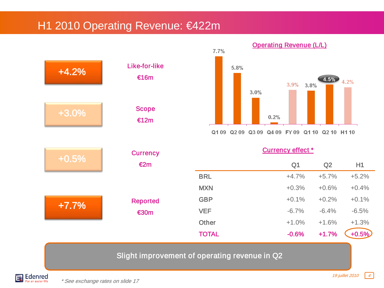#### H1 2010 Operating Revenue: €422m





Currency effect<sup>\*</sup>

| $\epsilon$ 2m  |              | Q <sub>1</sub> | Q2      | H1       |
|----------------|--------------|----------------|---------|----------|
|                | <b>BRL</b>   | $+4.7%$        | $+5.7%$ | $+5.2%$  |
|                | <b>MXN</b>   | $+0.3%$        | $+0.6%$ | $+0.4%$  |
| Reported       | <b>GBP</b>   | $+0.1%$        | $+0.2%$ | $+0.1%$  |
| $\epsilon$ 30m | <b>VEF</b>   | $-6.7%$        | $-6.4%$ | $-6.5%$  |
|                | <b>Other</b> | $+1.0%$        | $+1.6%$ | $+1.3%$  |
|                | <b>TOTAL</b> | $-0.6%$        | $+1.7%$ | $+0.5\%$ |
|                |              |                |         |          |

#### Slight improvement of operating revenue in Q2

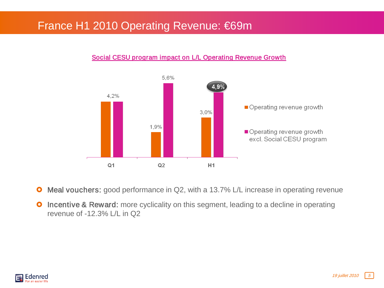#### France H1 2010 Operating Revenue: €69m



#### Social CESU program impact on L/L Operating Revenue Growth

- **O** Meal vouchers: good performance in Q2, with a 13.7% L/L increase in operating revenue
- **O** Incentive & Reward: more cyclicality on this segment, leading to a decline in operating revenue of -12.3% L/L in Q2

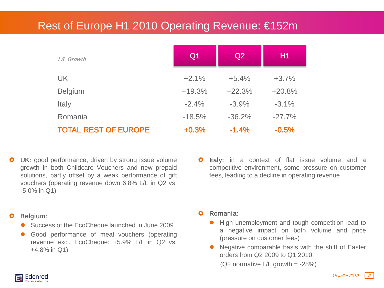### Rest of Europe H1 2010 Operating Revenue: €152m

| L/L Growth                  | Q <sub>1</sub> | Q2       | H1       |
|-----------------------------|----------------|----------|----------|
| <b>UK</b>                   | $+2.1%$        | $+5.4%$  | $+3.7%$  |
| <b>Belgium</b>              | $+19.3%$       | $+22.3%$ | $+20.8%$ |
| Italy                       | $-2.4%$        | $-3.9%$  | $-3.1%$  |
| Romania                     | $-18.5%$       | $-36.2%$ | $-27.7%$ |
| <b>TOTAL REST OF EUROPE</b> | $+0.3%$        | $-1.4%$  | $-0.5%$  |

UK: good performance, driven by strong issue volume growth in both Childcare Vouchers and new prepaid solutions, partly offset by a weak performance of gift vouchers (operating revenue down 6.8% L/L in Q2 vs. -5.0% in Q1)

#### Belgium:

- Success of the EcoCheque launched in June 2009
- Good performance of meal vouchers (operating revenue excl. EcoCheque: +5.9% L/L in Q2 vs. +4.8% in Q1)

**O** Italy: in a context of flat issue volume and a competitive environment, some pressure on customer fees, leading to a decline in operating revenue

#### Romania:

- **High unemployment and tough competition lead to** a negative impact on both volume and price (pressure on customer fees)
- Negative comparable basis with the shift of Easter orders from Q2 2009 to Q1 2010.

( $Q2$  normative  $L/L$  growth = -28%)

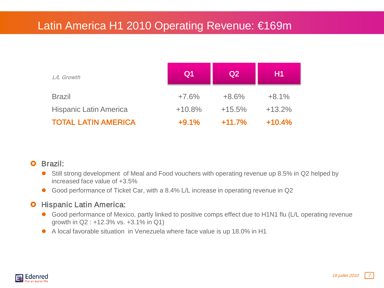## Latin America H1 2010 Operating Revenue: €169m

| L/L Growth                    | Q <sub>1</sub> | Q <sub>2</sub> | H1       |
|-------------------------------|----------------|----------------|----------|
| <b>Brazil</b>                 | $+7.6%$        | $+8.6%$        | $+8.1%$  |
| <b>Hispanic Latin America</b> | $+10.8%$       | $+15.5%$       | $+13.2%$ |
| <b>TOTAL LATIN AMERICA</b>    | $+9.1%$        | $+11.7%$       | $+10.4%$ |

#### **O** Brazil:

- Still strong development of Meal and Food vouchers with operating revenue up 8.5% in Q2 helped by increased face value of +3.5%
- Good performance of Ticket Car, with a 8.4% L/L increase in operating revenue in Q2

#### **O** Hispanic Latin America:

- Good performance of Mexico, partly linked to positive comps effect due to H1N1 flu (L/L operating revenue growth in Q2 : +12.3% vs. +3.1% in Q1)
- A local favorable situation in Venezuela where face value is up 18.0% in H1

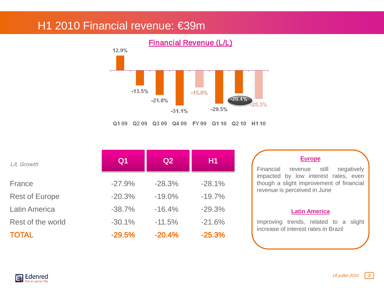## H1 2010 Financial revenue: €39m



|  | <b>Financial Revenue (L/L)</b> |  |
|--|--------------------------------|--|
|--|--------------------------------|--|

| <b>L/L Growth</b>     | Q <sub>1</sub> | Q2        | H1       | <b>Europe</b><br>Financial<br>still<br>negatively<br>revenue                     |
|-----------------------|----------------|-----------|----------|----------------------------------------------------------------------------------|
| France                | $-27.9%$       | $-28.3%$  | $-28.1%$ | impacted by low interest rates, even<br>though a slight improvement of financial |
| <b>Rest of Europe</b> | $-20.3%$       | $-19.0\%$ | $-19.7%$ | revenue is perceived in June                                                     |
| <b>Latin America</b>  | $-38.7%$       | $-16.4%$  | $-29.3%$ | <b>Latin America</b>                                                             |
| Rest of the world     | $-30.1%$       | $-11.5%$  | $-21.6%$ | Improving trends, related to a slight                                            |
| <b>TOTAL</b>          | $-29.5%$       | $-20.4%$  | $-25.3%$ | increase of interest rates in Brazil                                             |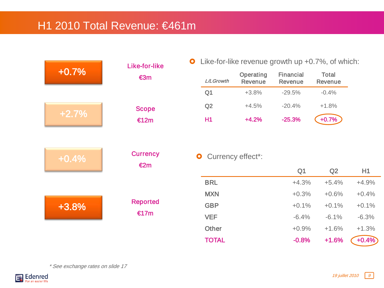### H1 2010 Total Revenue: €461m

| $+0.7%$ | Like-for-like<br>€3m |
|---------|----------------------|
| $+2.7%$ | <b>Scope</b><br>€12m |

Like-for-like revenue growth up +0.7%, of which:

| <b>L/LGrowth</b> | Operating<br><b>Revenue</b> | Financial<br><b>Revenue</b> | Total<br><b>Revenue</b> |
|------------------|-----------------------------|-----------------------------|-------------------------|
| Q1               | $+3.8%$                     | $-29.5%$                    | $-0.4%$                 |
| Q2               | $+4.5%$                     | $-20.4%$                    | $+1.8%$                 |
| Η1               | $+4.2%$                     | $-25.3%$                    | $+0.7%$                 |

| $+0.4%$ | <b>Currency</b><br>€2m  |
|---------|-------------------------|
| $+3.8%$ | <b>Reported</b><br>€17m |

#### **O** Currency effect\*:

|              | Q <sub>1</sub> | Q2      | H1       |
|--------------|----------------|---------|----------|
| <b>BRL</b>   | $+4.3%$        | $+5.4%$ | $+4.9%$  |
| <b>MXN</b>   | $+0.3%$        | $+0.6%$ | $+0.4%$  |
| <b>GBP</b>   | $+0.1%$        | $+0.1%$ | $+0.1%$  |
| <b>VEF</b>   | $-6.4%$        | $-6.1%$ | $-6.3%$  |
| <b>Other</b> | $+0.9%$        | $+1.6%$ | $+1.3%$  |
| <b>TOTAL</b> | $-0.8%$        | $+1.6%$ | $+0.4\%$ |

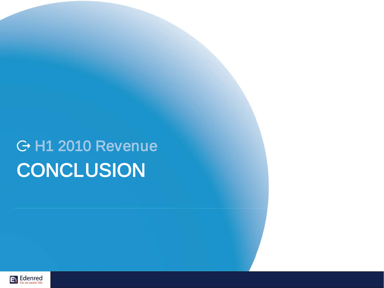# H1 2010 Revenue **CONCLUSION**

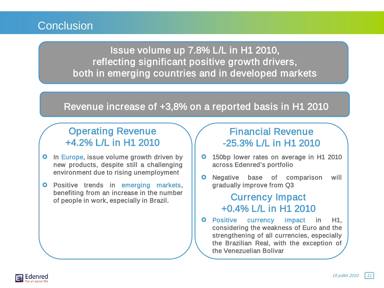#### **Conclusion**

Issue volume up 7.8% L/L in H1 2010, reflecting significant positive growth drivers, both in emerging countries and in developed markets

#### Revenue increase of +3,8% on a reported basis in H1 2010

#### Operating Revenue +4.2% L/L in H1 2010

- **O** In Europe, issue volume growth driven by new products, despite still a challenging environment due to rising unemployment
- **O** Positive trends in emerging markets, benefiting from an increase in the number of people in work, especially in Brazil.

#### Financial Revenue -25.3% L/L in H1 2010

- **o** 150bp lower rates on average in H1 2010 across Edenred's portfolio
- **O** Negative base of comparison will gradually improve from Q3

#### Currency Impact +0.4% L/L in H1 2010

**O** Positive currency impact in H1, considering the weakness of Euro and the strengthening of all currencies, especially the Brazilian Real, with the exception of the Venezuelian Bolivar

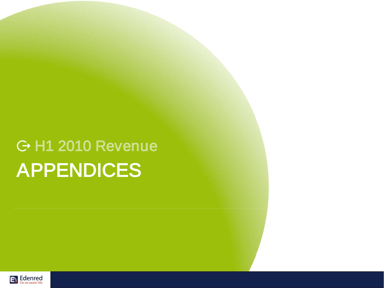# H1 2010 Revenue APPENDICES

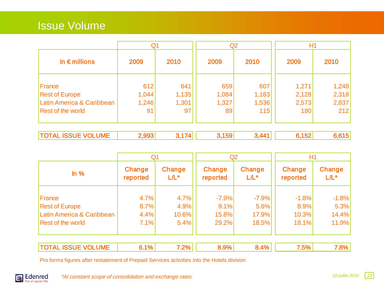## Issue Volume

|                                 | Q <sub>1</sub> |              | Q <sub>2</sub> |              | H <sub>1</sub> |                |
|---------------------------------|----------------|--------------|----------------|--------------|----------------|----------------|
| In $\epsilon$ millions          | 2009           | 2010         | 2009           | 2010         | 2009           | 2010           |
| France<br><b>Rest of Europe</b> | 612<br>1,044   | 641<br>1,135 | 659<br>1,084   | 607<br>1,183 | 1,271<br>2,128 | 1,248<br>2,318 |
| Latin America & Caribbean       | 1,246          | 1,301        | 1,327          | 1,536        | 2,573          | 2,837          |
| Rest of the world               | 91             | 97           | 89             | 115          | 180            | 212            |
| <b>TOTAL ISSUE VOLUME</b>       | 2,993          | 3,174        | 3,159          | 3,441        | 6,152          | 6,615          |

|                           | Q <sub>1</sub>     |                   | Q <sub>2</sub>     |                   | H1                 |                   |
|---------------------------|--------------------|-------------------|--------------------|-------------------|--------------------|-------------------|
| $ln \%$                   | Change<br>reported | Change<br>$L/L^*$ | Change<br>reported | Change<br>$L/L^*$ | Change<br>reported | Change<br>$L/L^*$ |
| France                    | 4.7%               | 4.7%              | $-7.9%$            | $-7.9%$           | $-1.8%$            | $-1.8%$           |
| <b>Rest of Europe</b>     | 8.7%               | 4.9%              | 9.1%               | 5.6%              | 8.9%               | 5.3%              |
| Latin America & Caribbean | 4.4%               | 10.6%             | 15.8%              | 17.9%             | 10.3%              | 14.4%             |
| Rest of the world         | 7.1%               | 5.4%              | 29.2%              | 18.5%             | 18.1%              | 11.9%             |
|                           |                    |                   |                    |                   |                    |                   |

| ----- | œ<br>m | 207<br>m |  |  | -0. |  |
|-------|--------|----------|--|--|-----|--|
|-------|--------|----------|--|--|-----|--|

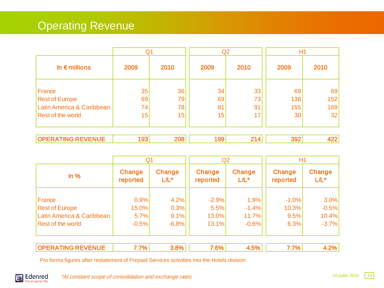## Operating Revenue

|                                                                                          | Q <sub>1</sub>       |                      | Q2                   |                      | H <sub>1</sub>         |                        |
|------------------------------------------------------------------------------------------|----------------------|----------------------|----------------------|----------------------|------------------------|------------------------|
| In $\epsilon$ millions                                                                   | 2009                 | 2010                 | 2009                 | 2010                 | 2009                   | 2010                   |
| France<br><b>Rest of Europe</b><br>Latin America & Caribbean<br><b>Rest of the world</b> | 35<br>69<br>74<br>15 | 36<br>79<br>78<br>15 | 34<br>69<br>81<br>15 | 33<br>73<br>91<br>17 | 69<br>138<br>155<br>30 | 69<br>152<br>169<br>32 |
| <b>OPERATING REVENUE</b>                                                                 | 193                  | 208                  | 199                  | 214                  | 392                    | 422                    |

|                                                    | Q <sub>1</sub>     |                   | Q <sub>2</sub>     |                   | H1                 |                   |  |
|----------------------------------------------------|--------------------|-------------------|--------------------|-------------------|--------------------|-------------------|--|
| $ln \%$                                            | Change<br>reported | Change<br>$L/L^*$ | Change<br>reported | Change<br>$L/L^*$ | Change<br>reported | Change<br>$L/L^*$ |  |
| France                                             | 0.9%               | 4.2%              | $-2.9%$            | 1.9%              | $-1.0%$            | 3.0%              |  |
| <b>Rest of Europe</b><br>Latin America & Caribbean | 15.0%<br>5.7%      | 0.3%<br>9.1%      | 5.5%<br>13.0%      | $-1.4%$<br>11.7%  | 10.3%<br>9.5%      | $-0.5%$<br>10.4%  |  |
| Rest of the world                                  | $-0.5%$            | $-6.8%$           | 13.1%              | $-0.6%$           | 6.3%               | $-3.7%$           |  |
| <b>OPERATING REVENUE</b>                           | 7.7%               | 3.8%              | 7.6%               | 4.5%              | 7.7%               | 4.2%              |  |

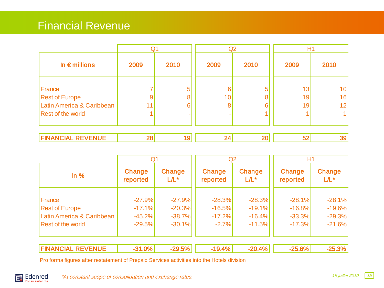#### Financial Revenue

|                                                              | Q1   |             |         | Q2      | H1             |                             |
|--------------------------------------------------------------|------|-------------|---------|---------|----------------|-----------------------------|
| In $\epsilon$ millions                                       | 2009 | 2010        | 2009    | 2010    | 2009           | 2010                        |
| France<br><b>Rest of Europe</b><br>Latin America & Caribbean | 11   | 5<br>8<br>6 | 6<br>10 | 5<br>ิค | 13<br>19<br>19 | 10<br>16<br>12 <sup>2</sup> |
| <b>Rest of the world</b><br><b>FINANCIAL REVENUE</b>         | 28   | 19          | 24      | 20      | 52             | 39                          |

| Q <sub>1</sub>            |          |          | Q <sub>2</sub> |          | H1       |          |  |
|---------------------------|----------|----------|----------------|----------|----------|----------|--|
| $ln \%$                   | Change   | Change   | Change         | Change   | Change   | Change   |  |
|                           | reported | $L/L^*$  | reported       | $L/L^*$  | reported | $L/L^*$  |  |
| France                    | $-27.9%$ | $-27.9%$ | $-28.3%$       | $-28.3%$ | $-28.1%$ | $-28.1%$ |  |
| <b>Rest of Europe</b>     | $-17.1%$ | $-20.3%$ | $-16.5%$       | $-19.1%$ | $-16.8%$ | $-19.6%$ |  |
| Latin America & Caribbean | $-45.2%$ | $-38.7%$ | $-17.2%$       | $-16.4%$ | $-33.3%$ | $-29.3%$ |  |
| Rest of the world         | $-29.5%$ | $-30.1%$ | $-2.7%$        | $-11.5%$ | $-17.3%$ | $-21.6%$ |  |
| <b>FINANCIAL REVENUE</b>  | $-31.0%$ | $-29.5%$ | $-19.4%$       | $-20.4%$ | $-25.6%$ | $-25.3%$ |  |

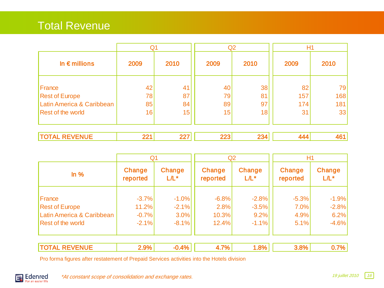### Total Revenue

|                           | Q1           |    | Q <sub>2</sub> |      | H1   |      |
|---------------------------|--------------|----|----------------|------|------|------|
| In $\epsilon$ millions    | 2010<br>2009 |    | 2009           | 2010 | 2009 | 2010 |
| France                    | 42           | 41 | 40             | 38   | 82   | 79   |
| <b>Rest of Europe</b>     | 78           | 87 | 79             | 81   | 157  | 168  |
| Latin America & Caribbean | 85           | 84 | 89             | 97   | 174  | 181  |
| Rest of the world         | 16           | 15 | 15             | 18   | 31   | 33   |
|                           |              |    |                |      |      |      |

|--|--|--|--|--|--|--|

|                                 | Q <sub>1</sub>     |                    | Q2                 |                    | H1                 |                    |  |
|---------------------------------|--------------------|--------------------|--------------------|--------------------|--------------------|--------------------|--|
| $ln\%$                          | Change<br>reported | Change<br>$L/L^*$  | Change<br>reported | Change<br>$L/L^*$  | Change<br>reported | Change<br>$L/L^*$  |  |
| France<br><b>Rest of Europe</b> | $-3.7%$<br>11.2%   | $-1.0%$<br>$-2.1%$ | $-6.8%$<br>2.8%    | $-2.8%$<br>$-3.5%$ | $-5.3%$<br>7.0%    | $-1.9%$<br>$-2.8%$ |  |
| Latin America & Caribbean       | $-0.7%$            | $3.0\%$            | 10.3%              | 9.2%               | 4.9%               | 6.2%               |  |
| Rest of the world               | $-2.1%$            | $-8.1%$            | 12.4%              | $-1.1%$            | 5.1%               | $-4.6%$            |  |
| <b>TOTAL REVENUE</b>            | 2.9%               | $-0.4%$            | 4.7%               | 1.8%               | 3.8%               | 0.7%               |  |